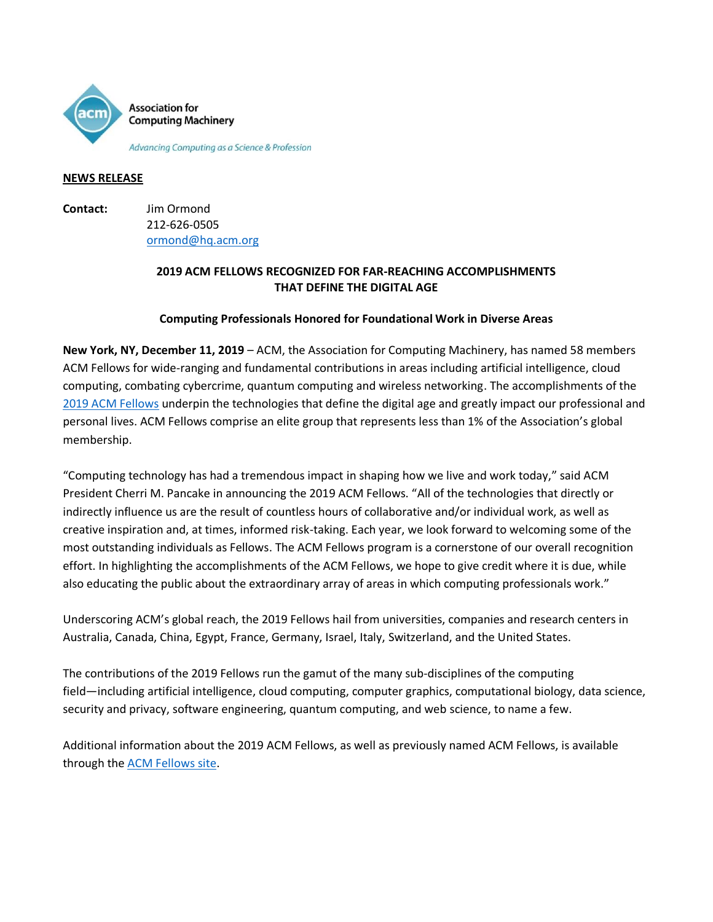

#### **NEWS RELEASE**

**Contact:** Jim Ormond 212-626-0505 [ormond@hq.acm.org](mailto:ormond@hq.acm.org)

# **2019 ACM FELLOWS RECOGNIZED FOR FAR-REACHING ACCOMPLISHMENTS THAT DEFINE THE DIGITAL AGE**

# **Computing Professionals Honored for Foundational Work in Diverse Areas**

**New York, NY, December 11, 2019** – ACM, the Association for Computing Machinery, has named 58 members ACM Fellows for wide-ranging and fundamental contributions in areas including artificial intelligence, cloud computing, combating cybercrime, quantum computing and wireless networking. The accomplishments of the [2019 ACM Fellows](https://awards.acm.org/fellows/award-winners?year=2019&award=158%5d) underpin the technologies that define the digital age and greatly impact our professional and personal lives. ACM Fellows comprise an elite group that represents less than 1% of the Association's global membership.

"Computing technology has had a tremendous impact in shaping how we live and work today," said ACM President Cherri M. Pancake in announcing the 2019 ACM Fellows. "All of the technologies that directly or indirectly influence us are the result of countless hours of collaborative and/or individual work, as well as creative inspiration and, at times, informed risk-taking. Each year, we look forward to welcoming some of the most outstanding individuals as Fellows. The ACM Fellows program is a cornerstone of our overall recognition effort. In highlighting the accomplishments of the ACM Fellows, we hope to give credit where it is due, while also educating the public about the extraordinary array of areas in which computing professionals work."

Underscoring ACM's global reach, the 2019 Fellows hail from universities, companies and research centers in Australia, Canada, China, Egypt, France, Germany, Israel, Italy, Switzerland, and the United States.

The contributions of the 2019 Fellows run the gamut of the many sub-disciplines of the computing field―including artificial intelligence, cloud computing, computer graphics, computational biology, data science, security and privacy, software engineering, quantum computing, and web science, to name a few.

Additional information about the 2019 ACM Fellows, as well as previously named ACM Fellows, is available through the [ACM Fellows site.](https://awards.acm.org/fellows)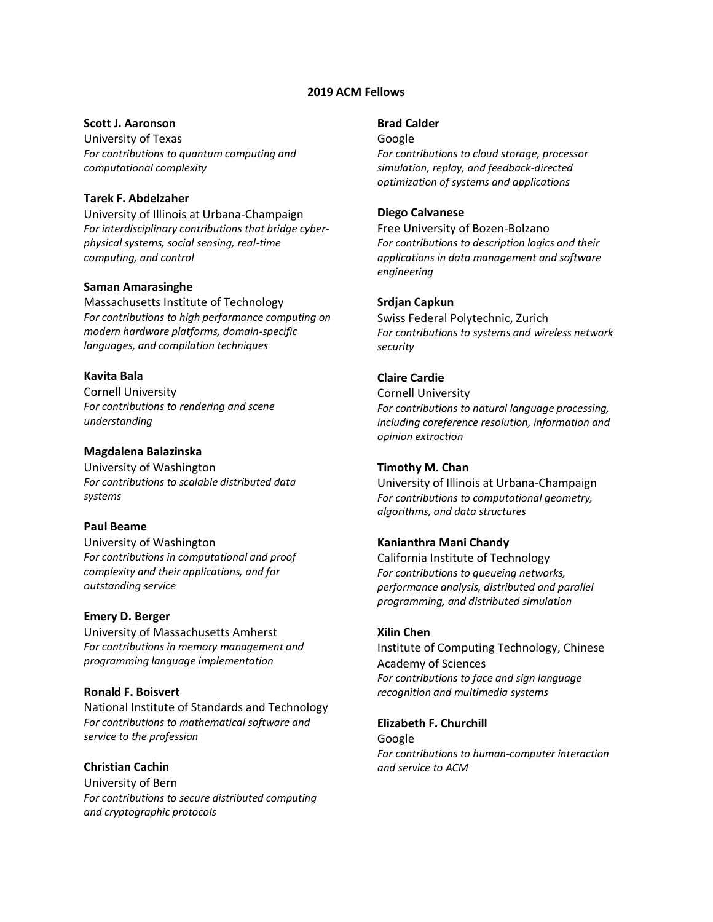### **2019 ACM Fellows**

### **Scott J. Aaronson**

University of Texas *For contributions to quantum computing and computational complexity*

## **Tarek F. Abdelzaher**

University of Illinois at Urbana-Champaign *For interdisciplinary contributions that bridge cyberphysical systems, social sensing, real-time computing, and control*

### **Saman Amarasinghe**

Massachusetts Institute of Technology *For contributions to high performance computing on modern hardware platforms, domain-specific languages, and compilation techniques*

#### **Kavita Bala**

Cornell University *For contributions to rendering and scene understanding*

#### **Magdalena Balazinska**

University of Washington *For contributions to scalable distributed data systems*

#### **Paul Beame**

University of Washington *For contributions in computational and proof complexity and their applications, and for outstanding service*

#### **Emery D. Berger**

University of Massachusetts Amherst *For contributions in memory management and programming language implementation*

### **Ronald F. Boisvert**

National Institute of Standards and Technology *For contributions to mathematical software and service to the profession*

# **Christian Cachin**

University of Bern *For contributions to secure distributed computing and cryptographic protocols*

#### **Brad Calder**

Google

*For contributions to cloud storage, processor simulation, replay, and feedback-directed optimization of systems and applications*

#### **Diego Calvanese**

Free University of Bozen-Bolzano *For contributions to description logics and their applications in data management and software engineering*

#### **Srdjan Capkun**

Swiss Federal Polytechnic, Zurich *For contributions to systems and wireless network security*

### **Claire Cardie**

Cornell University *For contributions to natural language processing, including coreference resolution, information and opinion extraction*

# **Timothy M. Chan**

University of Illinois at Urbana-Champaign *For contributions to computational geometry, algorithms, and data structures*

#### **Kanianthra Mani Chandy**

California Institute of Technology *For contributions to queueing networks, performance analysis, distributed and parallel programming, and distributed simulation*

#### **Xilin Chen**

Institute of Computing Technology, Chinese Academy of Sciences *For contributions to face and sign language recognition and multimedia systems*

#### **Elizabeth F. Churchill**

Google *For contributions to human-computer interaction and service to ACM*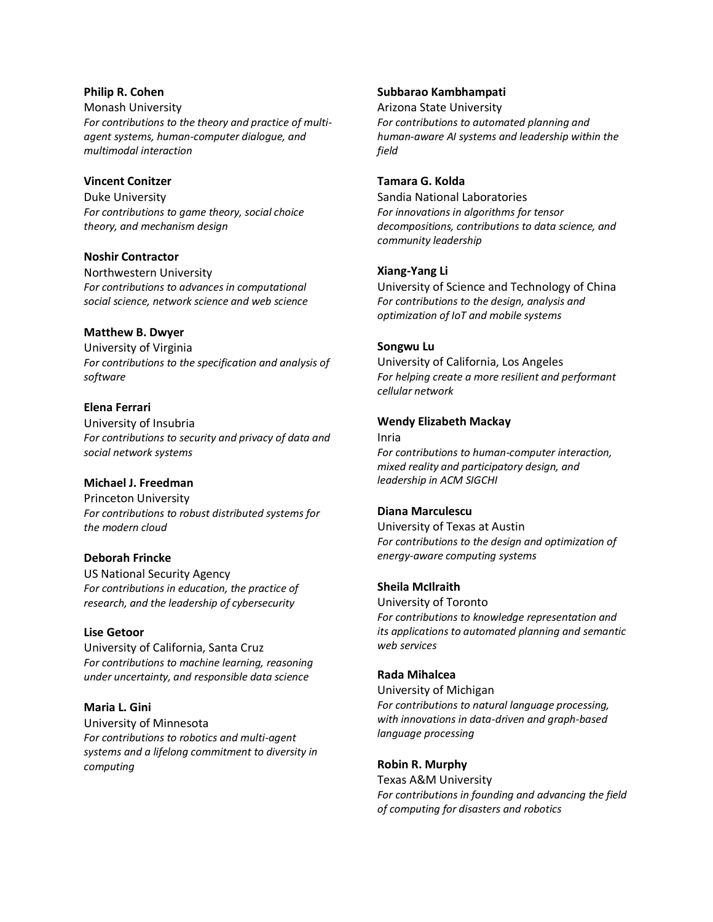### **Philip R. Cohen**

Monash University *For contributions to the theory and practice of multiagent systems, human-computer dialogue, and multimodal interaction*

# **Vincent Conitzer**

Duke University *For contributions to game theory, social choice theory, and mechanism design*

## **Noshir Contractor**

Northwestern University *For contributions to advances in computational social science, network science and web science*

## **Matthew B. Dwyer**

University of Virginia *For contributions to the specification and analysis of software*

## **Elena Ferrari**

University of Insubria *For contributions to security and privacy of data and social network systems*

# **Michael J. Freedman**

Princeton University *For contributions to robust distributed systems for the modern cloud*

### **Deborah Frincke**

US National Security Agency *For contributions in education, the practice of research, and the leadership of cybersecurity*

### **Lise Getoor**

University of California, Santa Cruz *For contributions to machine learning, reasoning under uncertainty, and responsible data science*

### **Maria L. Gini**

University of Minnesota *For contributions to robotics and multi-agent systems and a lifelong commitment to diversity in computing*

### **Subbarao Kambhampati**

Arizona State University *For contributions to automated planning and human-aware AI systems and leadership within the field*

#### **Tamara G. Kolda**

Sandia National Laboratories *For innovations in algorithms for tensor decompositions, contributions to data science, and community leadership*

## **Xiang-Yang Li**

University of Science and Technology of China *For contributions to the design, analysis and optimization of IoT and mobile systems*

## **Songwu Lu**

University of California, Los Angeles *For helping create a more resilient and performant cellular network*

## **Wendy Elizabeth Mackay**

Inria *For contributions to human-computer interaction, mixed reality and participatory design, and leadership in ACM SIGCHI*

### **Diana Marculescu**

University of Texas at Austin *For contributions to the design and optimization of energy-aware computing systems*

### **Sheila McIlraith**

University of Toronto *For contributions to knowledge representation and its applications to automated planning and semantic web services*

### **Rada Mihalcea**

University of Michigan *For contributions to natural language processing, with innovations in data-driven and graph-based language processing*

### **Robin R. Murphy**

Texas A&M University *For contributions in founding and advancing the field of computing for disasters and robotics*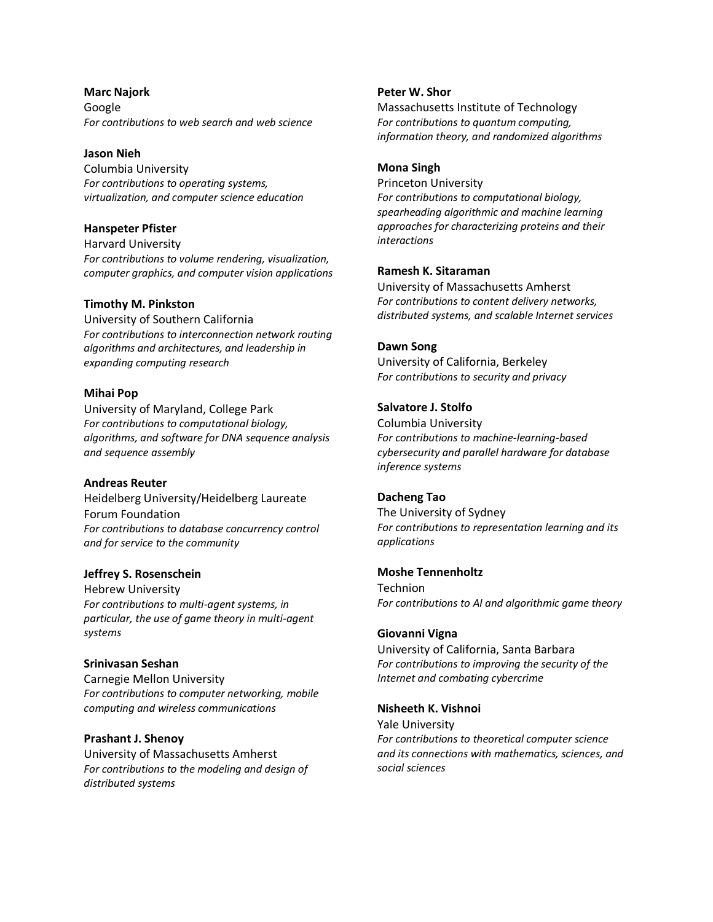**Marc Najork** Google *For contributions to web search and web science*

# **Jason Nieh**

Columbia University *For contributions to operating systems, virtualization, and computer science education*

## **Hanspeter Pfister**

Harvard University *For contributions to volume rendering, visualization, computer graphics, and computer vision applications*

## **Timothy M. Pinkston**

University of Southern California *For contributions to interconnection network routing algorithms and architectures, and leadership in expanding computing research*

## **Mihai Pop**

University of Maryland, College Park *For contributions to computational biology, algorithms, and software for DNA sequence analysis and sequence assembly*

### **Andreas Reuter**

Heidelberg University/Heidelberg Laureate Forum Foundation *For contributions to database concurrency control and for service to the community*

### **Jeffrey S. Rosenschein**

Hebrew University *For contributions to multi-agent systems, in particular, the use of game theory in multi-agent systems*

### **Srinivasan Seshan**

Carnegie Mellon University *For contributions to computer networking, mobile computing and wireless communications*

### **Prashant J. Shenoy**

University of Massachusetts Amherst *For contributions to the modeling and design of distributed systems*

# **Peter W. Shor**

Massachusetts Institute of Technology *For contributions to quantum computing, information theory, and randomized algorithms*

### **Mona Singh**

Princeton University *For contributions to computational biology, spearheading algorithmic and machine learning approaches for characterizing proteins and their interactions*

## **Ramesh K. Sitaraman**

University of Massachusetts Amherst *For contributions to content delivery networks, distributed systems, and scalable Internet services*

# **Dawn Song**

University of California, Berkeley *For contributions to security and privacy*

# **Salvatore J. Stolfo**

Columbia University *For contributions to machine-learning-based cybersecurity and parallel hardware for database inference systems*

### **Dacheng Tao**

The University of Sydney *For contributions to representation learning and its applications*

### **Moshe Tennenholtz**

Technion *For contributions to AI and algorithmic game theory*

### **Giovanni Vigna**

University of California, Santa Barbara *For contributions to improving the security of the Internet and combating cybercrime*

### **Nisheeth K. Vishnoi**

Yale University *For contributions to theoretical computer science and its connections with mathematics, sciences, and social sciences*